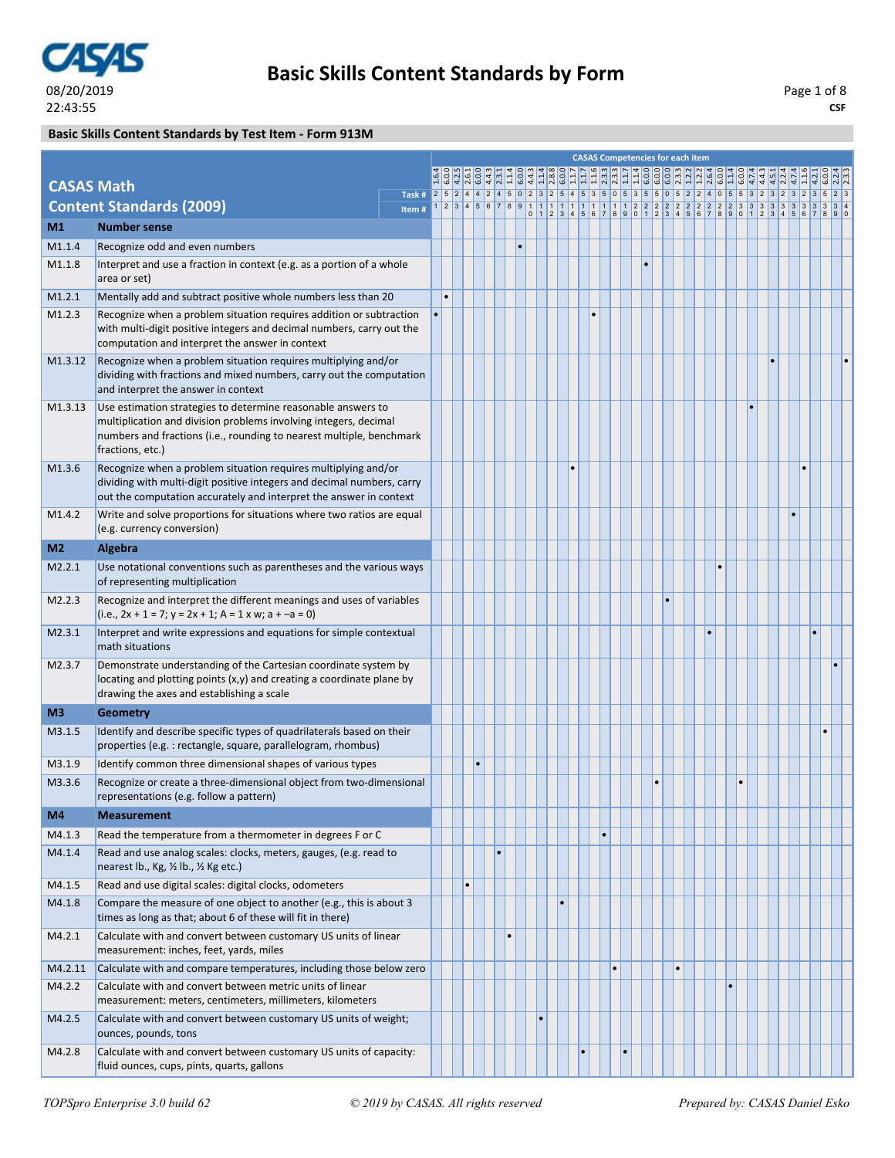

### **Basic Skills Content Standards by Test Item - Form 913M**

|                   |                                                                                                                                                                                                                              |                                                                                            |  |           |           |    |           |           |  |  |  | <b>CASAS Competencies for each item</b> |  |  |  |  |  |
|-------------------|------------------------------------------------------------------------------------------------------------------------------------------------------------------------------------------------------------------------------|--------------------------------------------------------------------------------------------|--|-----------|-----------|----|-----------|-----------|--|--|--|-----------------------------------------|--|--|--|--|--|
| <b>CASAS Math</b> |                                                                                                                                                                                                                              |                                                                                            |  |           |           |    |           |           |  |  |  |                                         |  |  |  |  |  |
|                   | <b>Content Standards (2009)</b>                                                                                                                                                                                              | Task # 2 5 2 4 4 2 4 5 0 2 3 2 5 4 5 3 5 0 5 3 5 5 0 5 2 2 4 0 5 5 3 2 3 2 3 2 3 2 3 5 2 3 |  |           |           |    |           |           |  |  |  |                                         |  |  |  |  |  |
| M1                | <b>Number sense</b>                                                                                                                                                                                                          | Item#                                                                                      |  |           |           |    |           |           |  |  |  |                                         |  |  |  |  |  |
| M1.1.4            | Recognize odd and even numbers                                                                                                                                                                                               |                                                                                            |  |           |           | l۰ |           |           |  |  |  |                                         |  |  |  |  |  |
| M1.1.8            | Interpret and use a fraction in context (e.g. as a portion of a whole                                                                                                                                                        |                                                                                            |  |           |           |    |           |           |  |  |  |                                         |  |  |  |  |  |
|                   | area or set)                                                                                                                                                                                                                 |                                                                                            |  |           |           |    |           |           |  |  |  |                                         |  |  |  |  |  |
| M1.2.1            | Mentally add and subtract positive whole numbers less than 20                                                                                                                                                                |                                                                                            |  |           |           |    |           |           |  |  |  |                                         |  |  |  |  |  |
| M1.2.3            | Recognize when a problem situation requires addition or subtraction<br>with multi-digit positive integers and decimal numbers, carry out the<br>computation and interpret the answer in context                              |                                                                                            |  |           |           |    |           |           |  |  |  |                                         |  |  |  |  |  |
| M1.3.12           | Recognize when a problem situation requires multiplying and/or<br>dividing with fractions and mixed numbers, carry out the computation<br>and interpret the answer in context                                                |                                                                                            |  |           |           |    |           |           |  |  |  |                                         |  |  |  |  |  |
| M1.3.13           | Use estimation strategies to determine reasonable answers to<br>multiplication and division problems involving integers, decimal<br>numbers and fractions (i.e., rounding to nearest multiple, benchmark<br>fractions, etc.) |                                                                                            |  |           |           |    |           |           |  |  |  |                                         |  |  |  |  |  |
| M1.3.6            | Recognize when a problem situation requires multiplying and/or<br>dividing with multi-digit positive integers and decimal numbers, carry<br>out the computation accurately and interpret the answer in context               |                                                                                            |  |           |           |    |           |           |  |  |  |                                         |  |  |  |  |  |
| M1.4.2            | Write and solve proportions for situations where two ratios are equal<br>(e.g. currency conversion)                                                                                                                          |                                                                                            |  |           |           |    |           |           |  |  |  |                                         |  |  |  |  |  |
| M <sub>2</sub>    | Algebra                                                                                                                                                                                                                      |                                                                                            |  |           |           |    |           |           |  |  |  |                                         |  |  |  |  |  |
| M2.2.1            | Use notational conventions such as parentheses and the various ways<br>of representing multiplication                                                                                                                        |                                                                                            |  |           |           |    |           |           |  |  |  |                                         |  |  |  |  |  |
| M2.2.3            | Recognize and interpret the different meanings and uses of variables<br>$(i.e., 2x + 1 = 7; y = 2x + 1; A = 1 x w; a + -a = 0)$                                                                                              |                                                                                            |  |           |           |    |           |           |  |  |  |                                         |  |  |  |  |  |
| M2.3.1            | Interpret and write expressions and equations for simple contextual<br>math situations                                                                                                                                       |                                                                                            |  |           |           |    |           |           |  |  |  |                                         |  |  |  |  |  |
| M2.3.7            | Demonstrate understanding of the Cartesian coordinate system by<br>locating and plotting points (x,y) and creating a coordinate plane by<br>drawing the axes and establishing a scale                                        |                                                                                            |  |           |           |    |           |           |  |  |  |                                         |  |  |  |  |  |
| M3                | <b>Geometry</b>                                                                                                                                                                                                              |                                                                                            |  |           |           |    |           |           |  |  |  |                                         |  |  |  |  |  |
| M3.1.5            | Identify and describe specific types of quadrilaterals based on their<br>properties (e.g.: rectangle, square, parallelogram, rhombus)                                                                                        |                                                                                            |  |           |           |    |           |           |  |  |  |                                         |  |  |  |  |  |
| M3.1.9            | Identify common three dimensional shapes of various types                                                                                                                                                                    |                                                                                            |  | $\bullet$ |           |    |           |           |  |  |  |                                         |  |  |  |  |  |
| M3.3.6            | Recognize or create a three-dimensional object from two-dimensional<br>representations (e.g. follow a pattern)                                                                                                               |                                                                                            |  |           |           |    |           |           |  |  |  |                                         |  |  |  |  |  |
| M4                | <b>Measurement</b>                                                                                                                                                                                                           |                                                                                            |  |           |           |    |           |           |  |  |  |                                         |  |  |  |  |  |
| M4.1.3            | Read the temperature from a thermometer in degrees F or C                                                                                                                                                                    |                                                                                            |  |           |           |    |           |           |  |  |  |                                         |  |  |  |  |  |
| M4.1.4            | Read and use analog scales: clocks, meters, gauges, (e.g. read to<br>nearest lb., Kg, 1/2 lb., 1/2 Kg etc.)                                                                                                                  |                                                                                            |  |           | $\bullet$ |    |           |           |  |  |  |                                         |  |  |  |  |  |
| M4.1.5            | Read and use digital scales: digital clocks, odometers                                                                                                                                                                       |                                                                                            |  |           |           |    |           |           |  |  |  |                                         |  |  |  |  |  |
| M4.1.8            | Compare the measure of one object to another (e.g., this is about 3<br>times as long as that; about 6 of these will fit in there)                                                                                            |                                                                                            |  |           |           |    |           | $\bullet$ |  |  |  |                                         |  |  |  |  |  |
| M4.2.1            | Calculate with and convert between customary US units of linear<br>measurement: inches, feet, yards, miles                                                                                                                   |                                                                                            |  |           |           |    |           |           |  |  |  |                                         |  |  |  |  |  |
| M4.2.11           | Calculate with and compare temperatures, including those below zero                                                                                                                                                          |                                                                                            |  |           |           |    |           |           |  |  |  | $\bullet$                               |  |  |  |  |  |
| M4.2.2            | Calculate with and convert between metric units of linear<br>measurement: meters, centimeters, millimeters, kilometers                                                                                                       |                                                                                            |  |           |           |    |           |           |  |  |  |                                         |  |  |  |  |  |
| M4.2.5            | Calculate with and convert between customary US units of weight;<br>ounces, pounds, tons                                                                                                                                     |                                                                                            |  |           |           |    | $\bullet$ |           |  |  |  |                                         |  |  |  |  |  |
| M4.2.8            | Calculate with and convert between customary US units of capacity:<br>fluid ounces, cups, pints, quarts, gallons                                                                                                             |                                                                                            |  |           |           |    |           |           |  |  |  |                                         |  |  |  |  |  |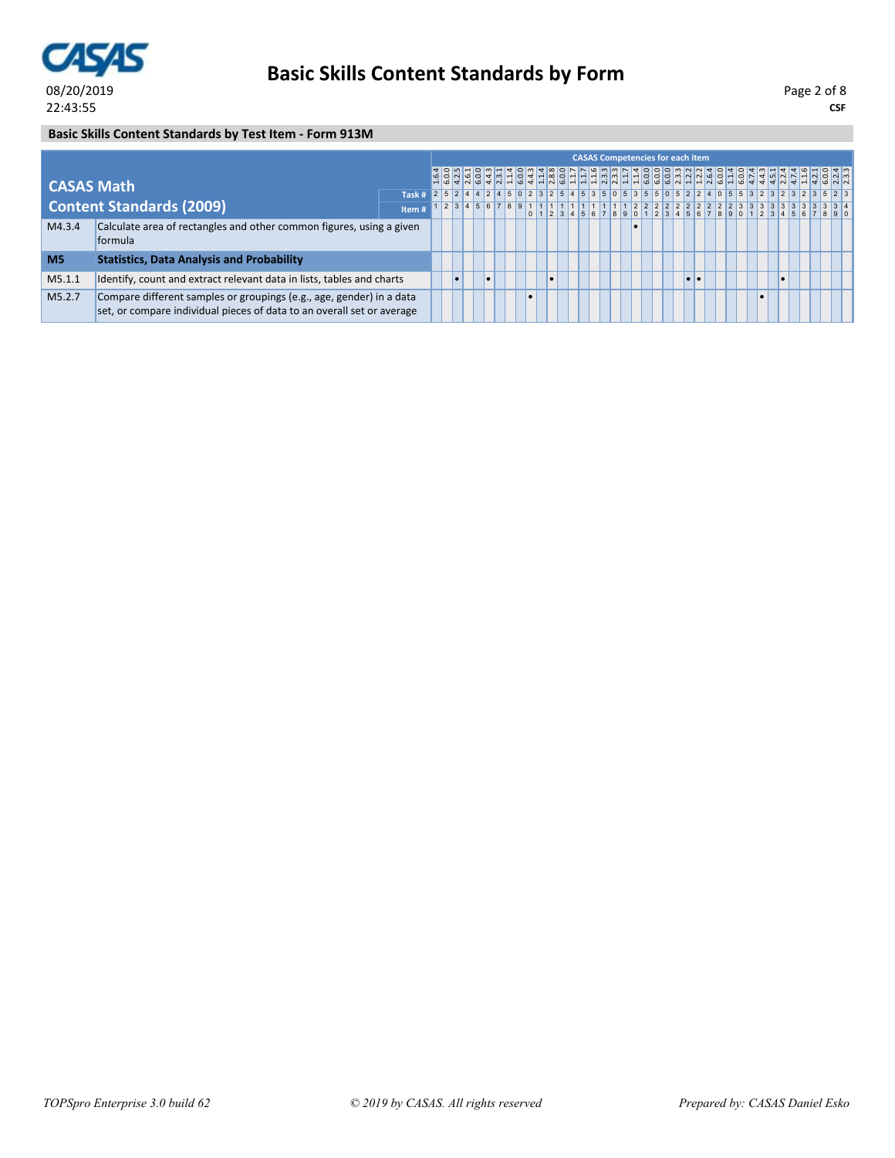

**CSF** Page 2 of 8

### **Basic Skills Content Standards by Test Item - Form 913M**

|                |                                                                                                                                                |                                                                                           |  |  |  |                     |                                                                                                                                                                                                                              | <b>CASAS Competencies for each item</b> |  |           |  |           |  |  |  |  |  |  |
|----------------|------------------------------------------------------------------------------------------------------------------------------------------------|-------------------------------------------------------------------------------------------|--|--|--|---------------------|------------------------------------------------------------------------------------------------------------------------------------------------------------------------------------------------------------------------------|-----------------------------------------|--|-----------|--|-----------|--|--|--|--|--|--|
| CASAS Math     |                                                                                                                                                |                                                                                           |  |  |  |                     | ד פת המס למד המס לדומס לדוד המיה לדום סמט מולד מים להס לב לילול לדול סמוט.<br>הסטול הסולט לדומס לדולולולולוס סטולולות הסולט ללילולולולולולולולולולול.<br>תס מים סטולולוס לדומס לדולולולולים להסולים להסולים להיו ללילולולים. |                                         |  |           |  |           |  |  |  |  |  |  |
|                |                                                                                                                                                | 173k# 2 5 2 4 4 2 4 5 0 2 3 2 5 4 5 3 5 0 5 3 5 5 0 5 2 2 4 0 5 5 3 2 3 2 3 2 3 2 3 5 2 3 |  |  |  |                     |                                                                                                                                                                                                                              |                                         |  |           |  |           |  |  |  |  |  |  |
|                | <b>Content Standards (2009)</b>                                                                                                                | Item#                                                                                     |  |  |  | 2 3 4 5 6 7 8 9 1 1 |                                                                                                                                                                                                                              |                                         |  |           |  |           |  |  |  |  |  |  |
| M4.3.4         | Calculate area of rectangles and other common figures, using a given<br><b>formula</b>                                                         |                                                                                           |  |  |  |                     |                                                                                                                                                                                                                              |                                         |  | $\bullet$ |  |           |  |  |  |  |  |  |
| M <sub>5</sub> | <b>Statistics, Data Analysis and Probability</b>                                                                                               |                                                                                           |  |  |  |                     |                                                                                                                                                                                                                              |                                         |  |           |  |           |  |  |  |  |  |  |
| M5.1.1         | Identify, count and extract relevant data in lists, tables and charts                                                                          |                                                                                           |  |  |  |                     |                                                                                                                                                                                                                              |                                         |  |           |  | $\bullet$ |  |  |  |  |  |  |
| M5.2.7         | Compare different samples or groupings (e.g., age, gender) in a data<br>set, or compare individual pieces of data to an overall set or average |                                                                                           |  |  |  |                     |                                                                                                                                                                                                                              |                                         |  |           |  |           |  |  |  |  |  |  |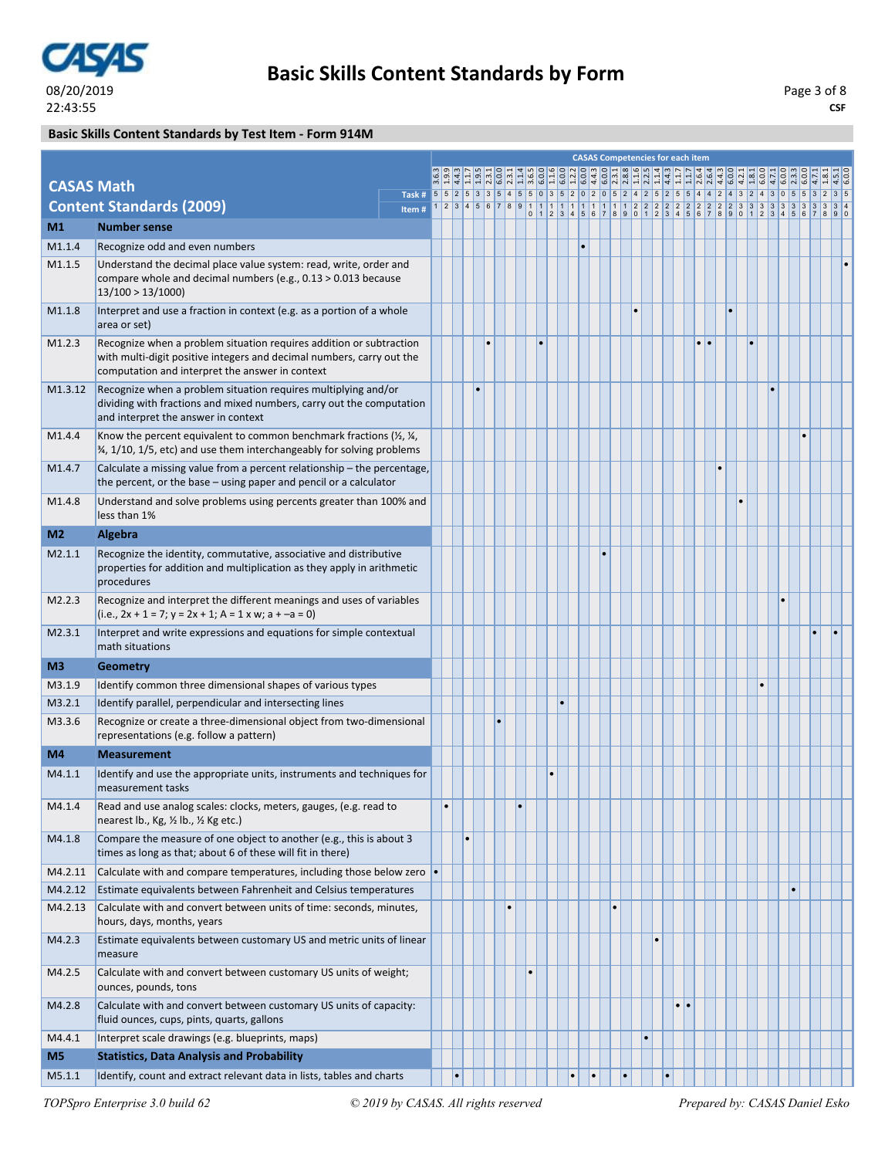

### **Basic Skills Content Standards by Test Item - Form 914M**

|                   |                                                                                                                                                                                                 |                                                                                        |           |           |  |           |           |           |           |           |           |  |           |           | <b>CASAS Competencies for each item</b> |           |           |           |  |  |  |  |
|-------------------|-------------------------------------------------------------------------------------------------------------------------------------------------------------------------------------------------|----------------------------------------------------------------------------------------|-----------|-----------|--|-----------|-----------|-----------|-----------|-----------|-----------|--|-----------|-----------|-----------------------------------------|-----------|-----------|-----------|--|--|--|--|
| <b>CASAS Math</b> |                                                                                                                                                                                                 |                                                                                        |           |           |  |           |           |           |           |           |           |  |           |           |                                         |           |           |           |  |  |  |  |
|                   | <b>Content Standards (2009)</b>                                                                                                                                                                 | Task # 5 5 2 5 3 3 5 4 5 5 0 3 5 2 0 2 0 5 2 4 2 5 2 5 5 4 4 2 4 3 2 4 3 0 5 5 3 2 3 5 |           |           |  |           |           |           |           |           |           |  |           |           |                                         |           |           |           |  |  |  |  |
| M1                | <b>Number sense</b>                                                                                                                                                                             | Item#                                                                                  |           |           |  |           |           |           |           |           |           |  |           |           |                                         |           |           |           |  |  |  |  |
| M1.1.4            | Recognize odd and even numbers                                                                                                                                                                  |                                                                                        |           |           |  |           |           |           |           |           |           |  |           |           |                                         |           |           |           |  |  |  |  |
| M1.1.5            | Understand the decimal place value system: read, write, order and                                                                                                                               |                                                                                        |           |           |  |           |           |           |           |           |           |  |           |           |                                         |           |           |           |  |  |  |  |
|                   | compare whole and decimal numbers (e.g., 0.13 > 0.013 because<br>13/100 > 13/1000                                                                                                               |                                                                                        |           |           |  |           |           |           |           |           |           |  |           |           |                                         |           |           |           |  |  |  |  |
| M1.1.8            | Interpret and use a fraction in context (e.g. as a portion of a whole<br>area or set)                                                                                                           |                                                                                        |           |           |  |           |           |           |           |           |           |  |           |           |                                         |           |           | $\bullet$ |  |  |  |  |
| M1.2.3            | Recognize when a problem situation requires addition or subtraction<br>with multi-digit positive integers and decimal numbers, carry out the<br>computation and interpret the answer in context |                                                                                        |           |           |  |           |           |           |           |           |           |  |           |           |                                         | $\bullet$ |           |           |  |  |  |  |
| M1.3.12           | Recognize when a problem situation requires multiplying and/or<br>dividing with fractions and mixed numbers, carry out the computation<br>and interpret the answer in context                   |                                                                                        |           |           |  |           |           |           |           |           |           |  |           |           |                                         |           |           |           |  |  |  |  |
| M1.4.4            | Know the percent equivalent to common benchmark fractions $(\frac{1}{2}, \frac{1}{4})$<br>3⁄4, 1/10, 1/5, etc) and use them interchangeably for solving problems                                |                                                                                        |           |           |  |           |           |           |           |           |           |  |           |           |                                         |           |           |           |  |  |  |  |
| M1.4.7            | Calculate a missing value from a percent relationship – the percentage,<br>the percent, or the base – using paper and pencil or a calculator                                                    |                                                                                        |           |           |  |           |           |           |           |           |           |  |           |           |                                         |           | $\bullet$ |           |  |  |  |  |
| M1.4.8            | Understand and solve problems using percents greater than 100% and<br>less than 1%                                                                                                              |                                                                                        |           |           |  |           |           |           |           |           |           |  |           |           |                                         |           |           |           |  |  |  |  |
| M <sub>2</sub>    | <b>Algebra</b>                                                                                                                                                                                  |                                                                                        |           |           |  |           |           |           |           |           |           |  |           |           |                                         |           |           |           |  |  |  |  |
| M2.1.1            | Recognize the identity, commutative, associative and distributive<br>properties for addition and multiplication as they apply in arithmetic<br>procedures                                       |                                                                                        |           |           |  |           |           |           |           |           |           |  |           |           |                                         |           |           |           |  |  |  |  |
| M2.2.3            | Recognize and interpret the different meanings and uses of variables<br>$(i.e., 2x + 1 = 7; y = 2x + 1; A = 1 x w; a + -a = 0)$                                                                 |                                                                                        |           |           |  |           |           |           |           |           |           |  |           |           |                                         |           |           |           |  |  |  |  |
| M2.3.1            | Interpret and write expressions and equations for simple contextual<br>math situations                                                                                                          |                                                                                        |           |           |  |           |           |           |           |           |           |  |           |           |                                         |           |           |           |  |  |  |  |
| M <sub>3</sub>    | <b>Geometry</b>                                                                                                                                                                                 |                                                                                        |           |           |  |           |           |           |           |           |           |  |           |           |                                         |           |           |           |  |  |  |  |
| M3.1.9            | Identify common three dimensional shapes of various types                                                                                                                                       |                                                                                        |           |           |  |           |           |           |           |           |           |  |           |           |                                         |           |           |           |  |  |  |  |
| M3.2.1            | Identify parallel, perpendicular and intersecting lines                                                                                                                                         |                                                                                        |           |           |  |           |           |           | $\bullet$ |           |           |  |           |           |                                         |           |           |           |  |  |  |  |
| M3.3.6            | Recognize or create a three-dimensional object from two-dimensional<br>representations (e.g. follow a pattern)                                                                                  |                                                                                        |           |           |  |           |           |           |           |           |           |  |           |           |                                         |           |           |           |  |  |  |  |
| M4                | <b>Measurement</b>                                                                                                                                                                              |                                                                                        |           |           |  |           |           |           |           |           |           |  |           |           |                                         |           |           |           |  |  |  |  |
| M4.1.1            | Identify and use the appropriate units, instruments and techniques for<br>measurement tasks                                                                                                     |                                                                                        |           |           |  |           |           | $\bullet$ |           |           |           |  |           |           |                                         |           |           |           |  |  |  |  |
| M4.1.4            | Read and use analog scales: clocks, meters, gauges, (e.g. read to<br>nearest lb., Kg, 1/2 lb., 1/2 Kg etc.)                                                                                     |                                                                                        |           |           |  |           |           |           |           |           |           |  |           |           |                                         |           |           |           |  |  |  |  |
| M4.1.8            | Compare the measure of one object to another (e.g., this is about 3<br>times as long as that; about 6 of these will fit in there)                                                               |                                                                                        |           | $\bullet$ |  |           |           |           |           |           |           |  |           |           |                                         |           |           |           |  |  |  |  |
| M4.2.11           | Calculate with and compare temperatures, including those below zero $\bullet$                                                                                                                   |                                                                                        |           |           |  |           |           |           |           |           |           |  |           |           |                                         |           |           |           |  |  |  |  |
| M4.2.12           | Estimate equivalents between Fahrenheit and Celsius temperatures                                                                                                                                |                                                                                        |           |           |  |           |           |           |           |           |           |  |           |           |                                         |           |           |           |  |  |  |  |
| M4.2.13           | Calculate with and convert between units of time: seconds, minutes,<br>hours, days, months, years                                                                                               |                                                                                        |           |           |  | $\bullet$ |           |           |           |           |           |  |           |           |                                         |           |           |           |  |  |  |  |
| M4.2.3            | Estimate equivalents between customary US and metric units of linear<br>measure                                                                                                                 |                                                                                        |           |           |  |           |           |           |           |           |           |  | $\bullet$ |           |                                         |           |           |           |  |  |  |  |
| M4.2.5            | Calculate with and convert between customary US units of weight;<br>ounces, pounds, tons                                                                                                        |                                                                                        |           |           |  |           | $\bullet$ |           |           |           |           |  |           |           |                                         |           |           |           |  |  |  |  |
| M4.2.8            | Calculate with and convert between customary US units of capacity:<br>fluid ounces, cups, pints, quarts, gallons                                                                                |                                                                                        |           |           |  |           |           |           |           |           |           |  |           |           | $\bullet\bullet$                        |           |           |           |  |  |  |  |
| M4.4.1            | Interpret scale drawings (e.g. blueprints, maps)                                                                                                                                                |                                                                                        |           |           |  |           |           |           |           |           |           |  | $\bullet$ |           |                                         |           |           |           |  |  |  |  |
| M <sub>5</sub>    | <b>Statistics, Data Analysis and Probability</b>                                                                                                                                                |                                                                                        |           |           |  |           |           |           |           |           |           |  |           |           |                                         |           |           |           |  |  |  |  |
| M5.1.1            | Identify, count and extract relevant data in lists, tables and charts                                                                                                                           |                                                                                        | $\bullet$ |           |  |           |           |           |           | $\bullet$ | $\bullet$ |  |           | $\bullet$ |                                         |           |           |           |  |  |  |  |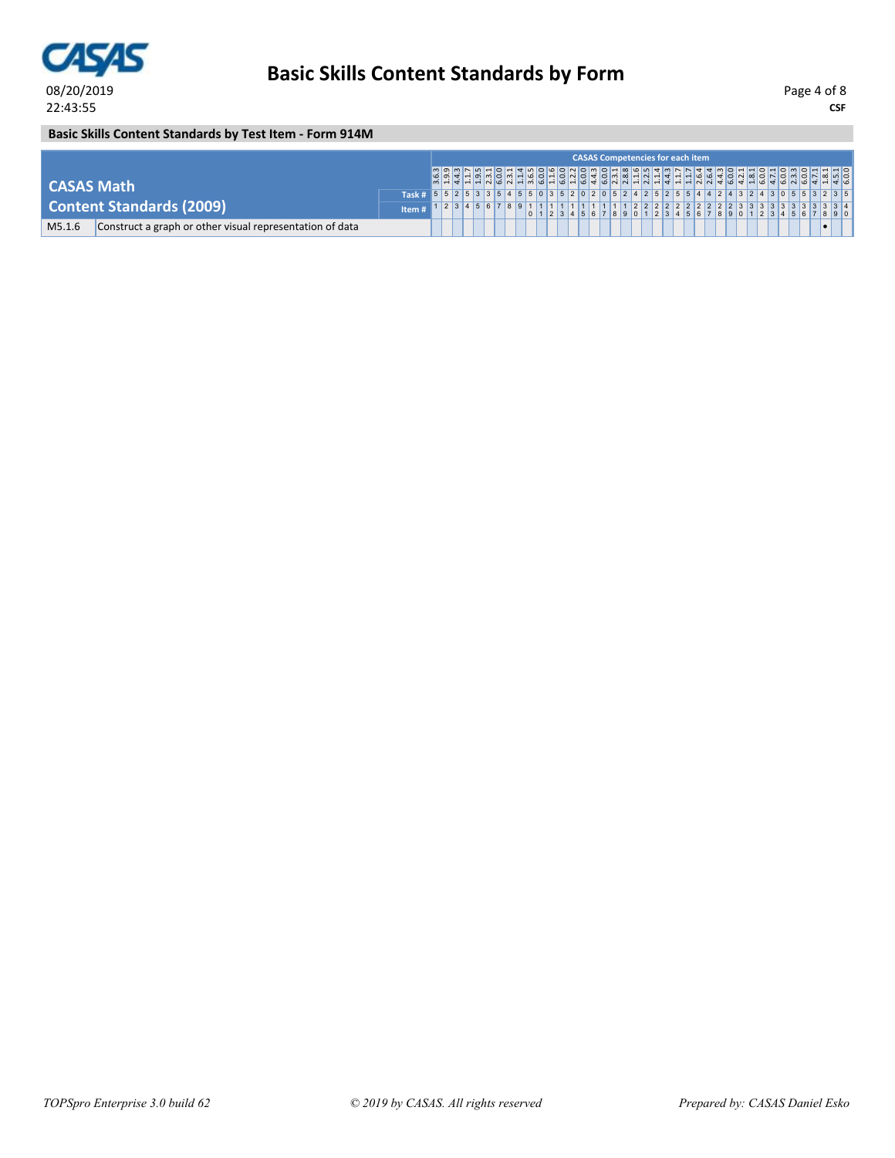

**Basic Skills Content Standards by Test Item - Form 914M**

|                   |                                                          |                                                                                        |  |  |  |              |  |  | <b>CASAS Competencies for each item</b> |  |  |  |  |  |  |  |  |
|-------------------|----------------------------------------------------------|----------------------------------------------------------------------------------------|--|--|--|--------------|--|--|-----------------------------------------|--|--|--|--|--|--|--|--|
| <b>CASAS Math</b> |                                                          |                                                                                        |  |  |  |              |  |  |                                         |  |  |  |  |  |  |  |  |
|                   |                                                          | Task # 5 5 2 5 3 3 5 4 5 5 0 3 5 2 0 2 0 5 2 4 2 5 2 5 5 4 4 2 4 3 2 4 3 0 5 5 3 2 3 5 |  |  |  |              |  |  |                                         |  |  |  |  |  |  |  |  |
|                   | <b>Content Standards (2009)</b>                          | Item#                                                                                  |  |  |  | 123456789111 |  |  |                                         |  |  |  |  |  |  |  |  |
| M5.1.6            | Construct a graph or other visual representation of data |                                                                                        |  |  |  |              |  |  |                                         |  |  |  |  |  |  |  |  |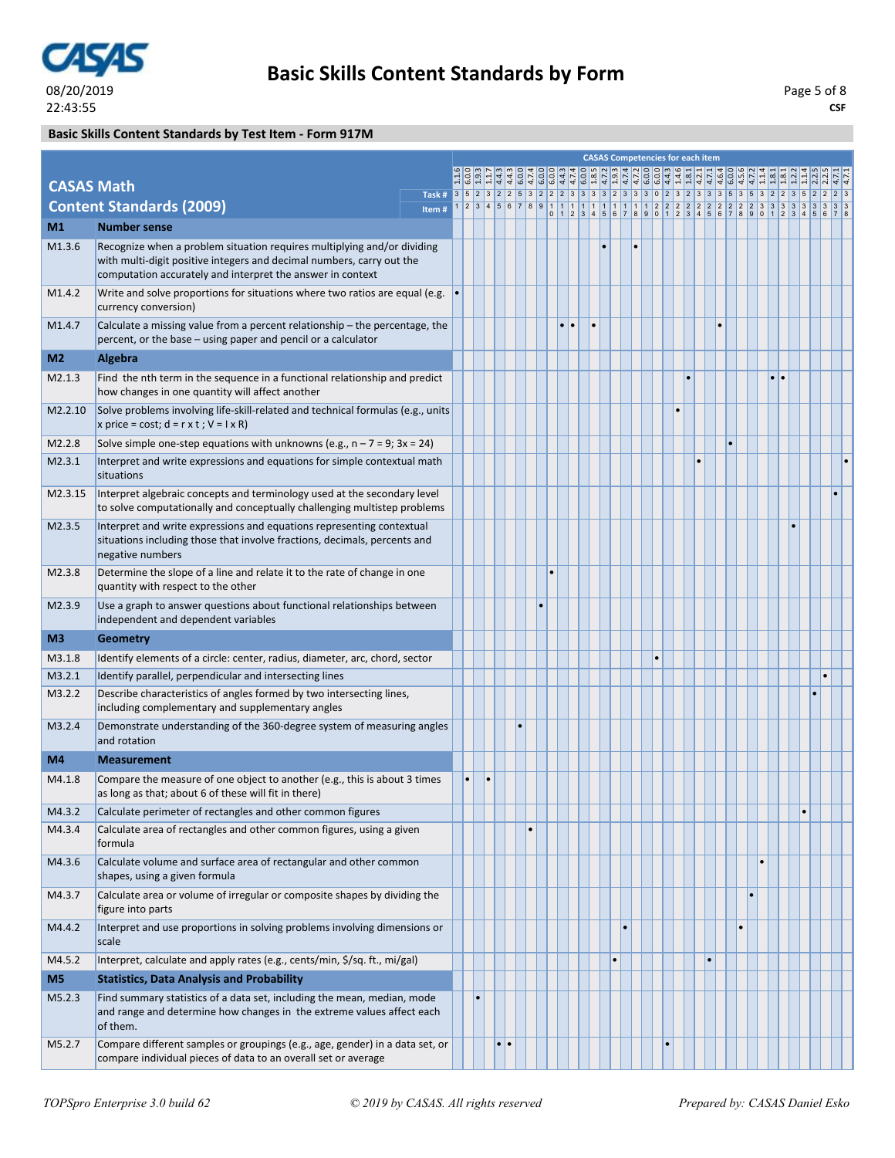

#### **Basic Skills Content Standards by Test Item - Form 917M**

|                   |                                                                                                                                                                                                                |       |           |                     |           |           |           | <b>CASAS Competencies for each item</b> |           |  |  |           |           |           |           |  |  |  |
|-------------------|----------------------------------------------------------------------------------------------------------------------------------------------------------------------------------------------------------------|-------|-----------|---------------------|-----------|-----------|-----------|-----------------------------------------|-----------|--|--|-----------|-----------|-----------|-----------|--|--|--|
|                   |                                                                                                                                                                                                                |       |           |                     |           |           |           |                                         |           |  |  |           |           |           |           |  |  |  |
| <b>CASAS Math</b> |                                                                                                                                                                                                                |       |           |                     |           |           |           |                                         |           |  |  |           |           |           |           |  |  |  |
|                   | <b>Content Standards (2009)</b>                                                                                                                                                                                | Item# |           |                     |           |           |           |                                         |           |  |  |           |           |           |           |  |  |  |
| M1                | <b>Number sense</b>                                                                                                                                                                                            |       |           |                     |           |           |           |                                         |           |  |  |           |           |           |           |  |  |  |
| M1.3.6            | Recognize when a problem situation requires multiplying and/or dividing<br>with multi-digit positive integers and decimal numbers, carry out the<br>computation accurately and interpret the answer in context |       |           |                     |           |           |           |                                         |           |  |  |           |           |           |           |  |  |  |
| M1.4.2            | Write and solve proportions for situations where two ratios are equal (e.g.<br>currency conversion)                                                                                                            |       |           |                     |           |           |           |                                         |           |  |  |           |           |           |           |  |  |  |
| M1.4.7            | Calculate a missing value from a percent relationship – the percentage, the<br>percent, or the base – using paper and pencil or a calculator                                                                   |       |           |                     |           |           | $\bullet$ |                                         |           |  |  |           | $\bullet$ |           |           |  |  |  |
| M <sub>2</sub>    | Algebra                                                                                                                                                                                                        |       |           |                     |           |           |           |                                         |           |  |  |           |           |           |           |  |  |  |
| M2.1.3            | Find the nth term in the sequence in a functional relationship and predict<br>how changes in one quantity will affect another                                                                                  |       |           |                     |           |           |           |                                         |           |  |  |           |           |           | $\bullet$ |  |  |  |
| M2.2.10           | Solve problems involving life-skill-related and technical formulas (e.g., units<br>x price = cost; $d = r \times t$ ; $V = I \times R$                                                                         |       |           |                     |           |           |           |                                         |           |  |  |           |           |           |           |  |  |  |
| M2.2.8            | Solve simple one-step equations with unknowns (e.g., $n - 7 = 9$ ; $3x = 24$ )                                                                                                                                 |       |           |                     |           |           |           |                                         |           |  |  |           |           |           |           |  |  |  |
| M2.3.1            | Interpret and write expressions and equations for simple contextual math<br>situations                                                                                                                         |       |           |                     |           |           |           |                                         |           |  |  |           |           |           |           |  |  |  |
| M2.3.15           | Interpret algebraic concepts and terminology used at the secondary level<br>to solve computationally and conceptually challenging multistep problems                                                           |       |           |                     |           |           |           |                                         |           |  |  |           |           |           |           |  |  |  |
| M2.3.5            | Interpret and write expressions and equations representing contextual<br>situations including those that involve fractions, decimals, percents and<br>negative numbers                                         |       |           |                     |           |           |           |                                         |           |  |  |           |           |           |           |  |  |  |
| M2.3.8            | Determine the slope of a line and relate it to the rate of change in one<br>quantity with respect to the other                                                                                                 |       |           |                     |           | $\bullet$ |           |                                         |           |  |  |           |           |           |           |  |  |  |
| M2.3.9            | Use a graph to answer questions about functional relationships between<br>independent and dependent variables                                                                                                  |       |           |                     |           |           |           |                                         |           |  |  |           |           |           |           |  |  |  |
| M <sub>3</sub>    | <b>Geometry</b>                                                                                                                                                                                                |       |           |                     |           |           |           |                                         |           |  |  |           |           |           |           |  |  |  |
| M3.1.8            | Identify elements of a circle: center, radius, diameter, arc, chord, sector                                                                                                                                    |       |           |                     |           |           |           |                                         |           |  |  |           |           |           |           |  |  |  |
| M3.2.1            | Identify parallel, perpendicular and intersecting lines                                                                                                                                                        |       |           |                     |           |           |           |                                         |           |  |  |           |           |           |           |  |  |  |
| M3.2.2            | Describe characteristics of angles formed by two intersecting lines,<br>including complementary and supplementary angles                                                                                       |       |           |                     |           |           |           |                                         |           |  |  |           |           |           |           |  |  |  |
| M3.2.4            | Demonstrate understanding of the 360-degree system of measuring angles<br>and rotation                                                                                                                         |       |           |                     |           |           |           |                                         |           |  |  |           |           |           |           |  |  |  |
| M4                | <b>Measurement</b>                                                                                                                                                                                             |       |           |                     |           |           |           |                                         |           |  |  |           |           |           |           |  |  |  |
| M4.1.8            | Compare the measure of one object to another (e.g., this is about 3 times<br>as long as that; about 6 of these will fit in there)                                                                              |       | $\bullet$ |                     |           |           |           |                                         |           |  |  |           |           |           |           |  |  |  |
| M4.3.2            | Calculate perimeter of rectangles and other common figures                                                                                                                                                     |       |           |                     |           |           |           |                                         |           |  |  |           |           |           |           |  |  |  |
| M4.3.4            | Calculate area of rectangles and other common figures, using a given<br>formula                                                                                                                                |       |           |                     | $\bullet$ |           |           |                                         |           |  |  |           |           |           |           |  |  |  |
| M4.3.6            | Calculate volume and surface area of rectangular and other common<br>shapes, using a given formula                                                                                                             |       |           |                     |           |           |           |                                         |           |  |  |           |           |           |           |  |  |  |
| M4.3.7            | Calculate area or volume of irregular or composite shapes by dividing the<br>figure into parts                                                                                                                 |       |           |                     |           |           |           |                                         |           |  |  |           |           |           |           |  |  |  |
| M4.4.2            | Interpret and use proportions in solving problems involving dimensions or<br>scale                                                                                                                             |       |           |                     |           |           |           |                                         |           |  |  |           |           | $\bullet$ |           |  |  |  |
| M4.5.2            | Interpret, calculate and apply rates (e.g., cents/min, \$/sq. ft., mi/gal)                                                                                                                                     |       |           |                     |           |           |           |                                         | $\bullet$ |  |  | $\bullet$ |           |           |           |  |  |  |
| M5                | <b>Statistics, Data Analysis and Probability</b>                                                                                                                                                               |       |           |                     |           |           |           |                                         |           |  |  |           |           |           |           |  |  |  |
| M5.2.3            | Find summary statistics of a data set, including the mean, median, mode<br>and range and determine how changes in the extreme values affect each<br>of them.                                                   |       |           |                     |           |           |           |                                         |           |  |  |           |           |           |           |  |  |  |
| M5.2.7            | Compare different samples or groupings (e.g., age, gender) in a data set, or<br>compare individual pieces of data to an overall set or average                                                                 |       |           | $\bullet$ $\bullet$ |           |           |           |                                         |           |  |  |           |           |           |           |  |  |  |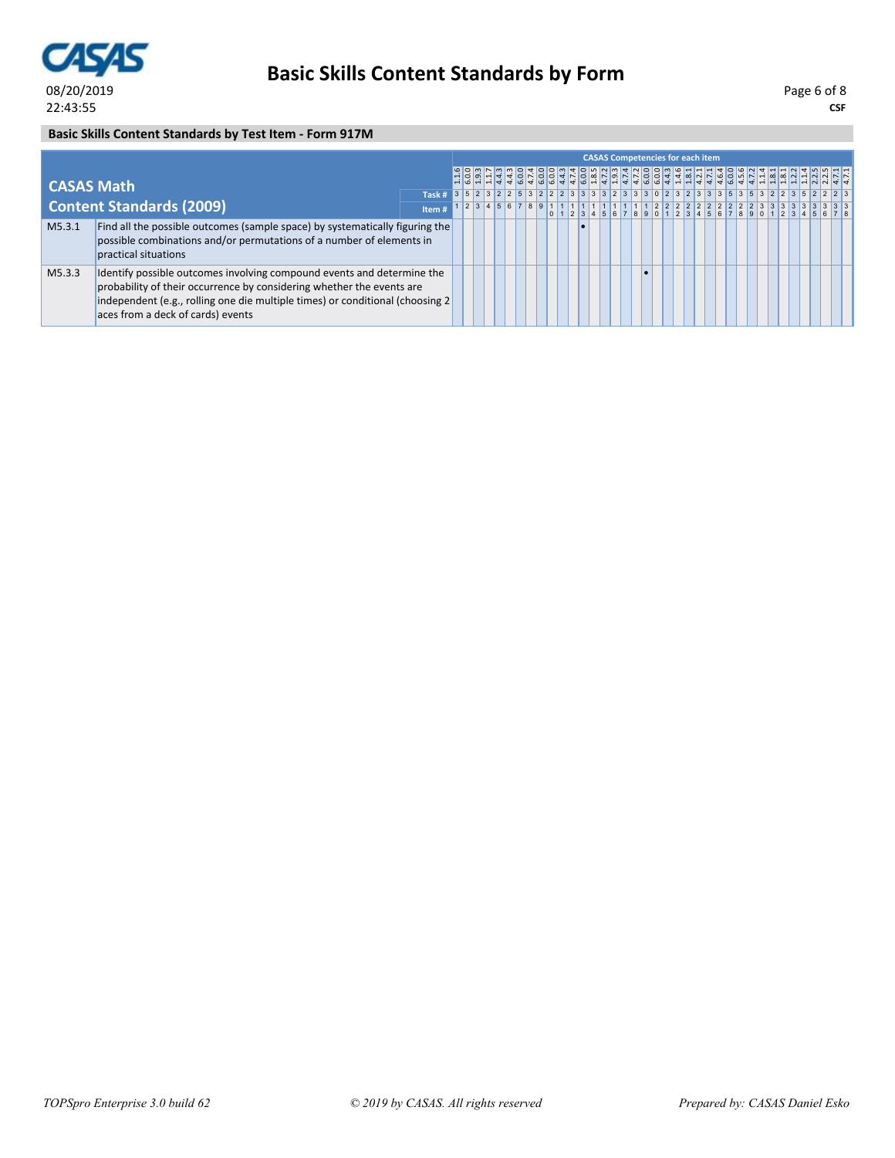

**CSF** Page 6 of 8

### **Basic Skills Content Standards by Test Item - Form 917M**

|                   |                                                                                                                                                                                                                                                                       |                                                                                              |  |  |  |  |  | <b>CASAS Competencies for each item</b> |  |  |  |  |  |  |  |  |
|-------------------|-----------------------------------------------------------------------------------------------------------------------------------------------------------------------------------------------------------------------------------------------------------------------|----------------------------------------------------------------------------------------------|--|--|--|--|--|-----------------------------------------|--|--|--|--|--|--|--|--|
| <b>CASAS Math</b> |                                                                                                                                                                                                                                                                       |                                                                                              |  |  |  |  |  |                                         |  |  |  |  |  |  |  |  |
|                   |                                                                                                                                                                                                                                                                       | Task # 3 5 2 3 2 2 5 3 2 2 2 3 3 3 3 3 3 3 3 4 2 3 3 3 0 2 3 2 3 3 3 5 3 5 3 2 2 3 5 2 2 2 3 |  |  |  |  |  |                                         |  |  |  |  |  |  |  |  |
|                   | <b>Content Standards (2009)</b>                                                                                                                                                                                                                                       | Item#                                                                                        |  |  |  |  |  |                                         |  |  |  |  |  |  |  |  |
| M5.3.1            | Find all the possible outcomes (sample space) by systematically figuring the<br>possible combinations and/or permutations of a number of elements in<br>practical situations                                                                                          |                                                                                              |  |  |  |  |  |                                         |  |  |  |  |  |  |  |  |
| M5.3.3            | Identify possible outcomes involving compound events and determine the<br>probability of their occurrence by considering whether the events are<br>independent (e.g., rolling one die multiple times) or conditional (choosing 2<br>aces from a deck of cards) events |                                                                                              |  |  |  |  |  |                                         |  |  |  |  |  |  |  |  |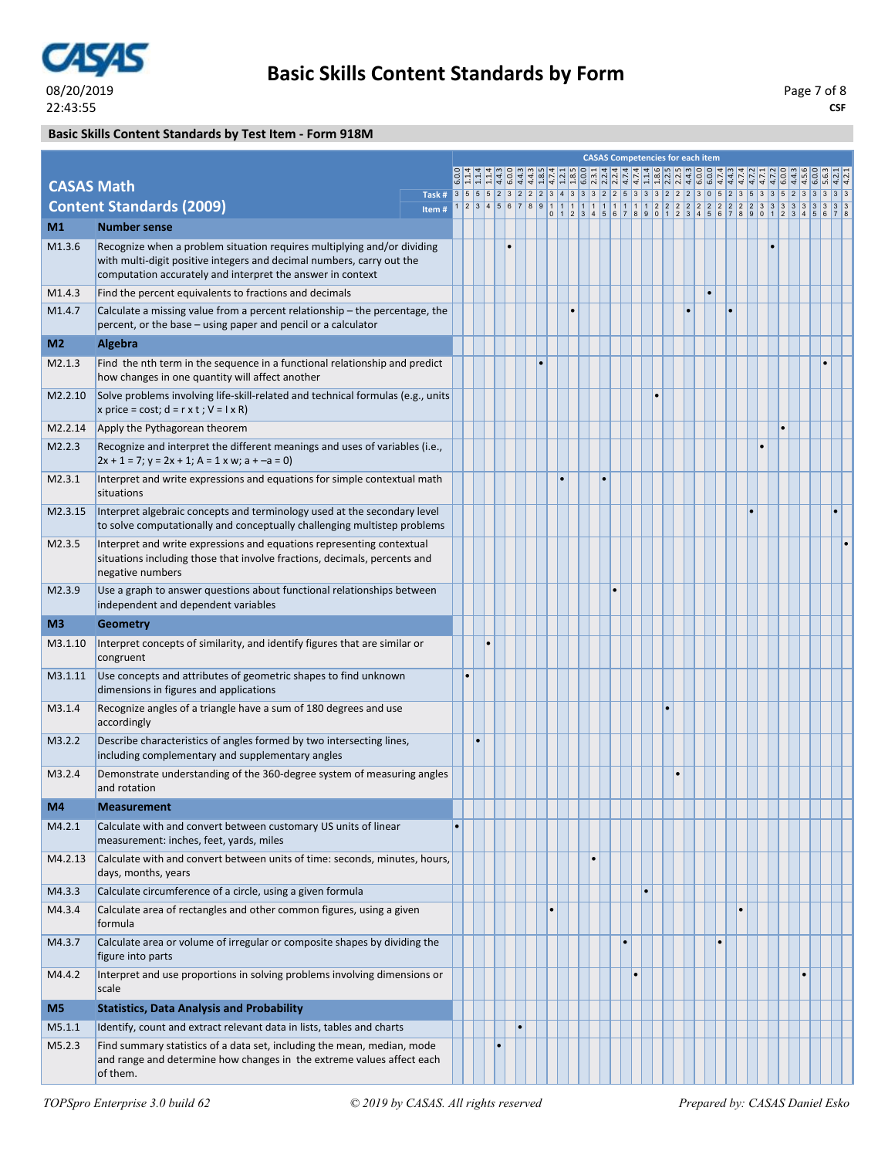

### **Basic Skills Content Standards by Test Item - Form 918M**

|                   |                                                                                                                                                                                                                |                                                                                    |           |   |  |    |           |           |  |  |           | <b>CASAS Competencies for each item</b> |           |  |  |  |  |  |
|-------------------|----------------------------------------------------------------------------------------------------------------------------------------------------------------------------------------------------------------|------------------------------------------------------------------------------------|-----------|---|--|----|-----------|-----------|--|--|-----------|-----------------------------------------|-----------|--|--|--|--|--|
|                   |                                                                                                                                                                                                                |                                                                                    |           |   |  |    |           |           |  |  |           |                                         |           |  |  |  |  |  |
| <b>CASAS Math</b> |                                                                                                                                                                                                                | Task # 3 5 5 5 2 3 2 2 2 3 4 3 3 3 2 2 5 3 3 3 2 2 2 3 0 5 2 3 5 3 3 5 2 3 3 3 3 3 |           |   |  |    |           |           |  |  |           |                                         |           |  |  |  |  |  |
|                   | <b>Content Standards (2009)</b>                                                                                                                                                                                | Item#                                                                              |           |   |  |    |           |           |  |  |           |                                         |           |  |  |  |  |  |
| M1                | <b>Number sense</b>                                                                                                                                                                                            |                                                                                    |           |   |  |    |           |           |  |  |           |                                         |           |  |  |  |  |  |
| M1.3.6            | Recognize when a problem situation requires multiplying and/or dividing<br>with multi-digit positive integers and decimal numbers, carry out the<br>computation accurately and interpret the answer in context |                                                                                    |           |   |  |    |           |           |  |  |           |                                         |           |  |  |  |  |  |
| M1.4.3            | Find the percent equivalents to fractions and decimals                                                                                                                                                         |                                                                                    |           |   |  |    |           |           |  |  |           |                                         | $\bullet$ |  |  |  |  |  |
| M1.4.7            | Calculate a missing value from a percent relationship – the percentage, the<br>percent, or the base – using paper and pencil or a calculator                                                                   |                                                                                    |           |   |  |    |           |           |  |  |           | Ŀ                                       |           |  |  |  |  |  |
| M <sub>2</sub>    | Algebra                                                                                                                                                                                                        |                                                                                    |           |   |  |    |           |           |  |  |           |                                         |           |  |  |  |  |  |
| M2.1.3            | Find the nth term in the sequence in a functional relationship and predict<br>how changes in one quantity will affect another                                                                                  |                                                                                    |           |   |  |    | $\bullet$ |           |  |  |           |                                         |           |  |  |  |  |  |
| M2.2.10           | Solve problems involving life-skill-related and technical formulas (e.g., units<br>x price = cost; $d = r \times t$ ; $V = I \times R$ )                                                                       |                                                                                    |           |   |  |    |           |           |  |  |           |                                         |           |  |  |  |  |  |
| M2.2.14           | Apply the Pythagorean theorem                                                                                                                                                                                  |                                                                                    |           |   |  |    |           |           |  |  |           |                                         |           |  |  |  |  |  |
| M2.2.3            | Recognize and interpret the different meanings and uses of variables (i.e.,<br>$2x + 1 = 7$ ; $y = 2x + 1$ ; $A = 1$ x w; $a + -a = 0$ )                                                                       |                                                                                    |           |   |  |    |           |           |  |  |           |                                         |           |  |  |  |  |  |
| M2.3.1            | Interpret and write expressions and equations for simple contextual math<br>situations                                                                                                                         |                                                                                    |           |   |  |    |           |           |  |  |           |                                         |           |  |  |  |  |  |
| M2.3.15           | Interpret algebraic concepts and terminology used at the secondary level<br>to solve computationally and conceptually challenging multistep problems                                                           |                                                                                    |           |   |  |    |           |           |  |  |           |                                         |           |  |  |  |  |  |
| M2.3.5            | Interpret and write expressions and equations representing contextual<br>situations including those that involve fractions, decimals, percents and<br>negative numbers                                         |                                                                                    |           |   |  |    |           |           |  |  |           |                                         |           |  |  |  |  |  |
| M2.3.9            | Use a graph to answer questions about functional relationships between<br>independent and dependent variables                                                                                                  |                                                                                    |           |   |  |    |           |           |  |  |           |                                         |           |  |  |  |  |  |
| M <sub>3</sub>    | <b>Geometry</b>                                                                                                                                                                                                |                                                                                    |           |   |  |    |           |           |  |  |           |                                         |           |  |  |  |  |  |
| M3.1.10           | Interpret concepts of similarity, and identify figures that are similar or<br>congruent                                                                                                                        |                                                                                    |           |   |  |    |           |           |  |  |           |                                         |           |  |  |  |  |  |
| M3.1.11           | Use concepts and attributes of geometric shapes to find unknown<br>dimensions in figures and applications                                                                                                      |                                                                                    | $\bullet$ |   |  |    |           |           |  |  |           |                                         |           |  |  |  |  |  |
| M3.1.4            | Recognize angles of a triangle have a sum of 180 degrees and use<br>accordingly                                                                                                                                |                                                                                    |           |   |  |    |           |           |  |  |           |                                         |           |  |  |  |  |  |
| M3.2.2            | Describe characteristics of angles formed by two intersecting lines,<br>including complementary and supplementary angles                                                                                       |                                                                                    |           | ٠ |  |    |           |           |  |  |           |                                         |           |  |  |  |  |  |
| M3.2.4            | Demonstrate understanding of the 360-degree system of measuring angles<br>and rotation                                                                                                                         |                                                                                    |           |   |  |    |           |           |  |  |           | $\bullet$                               |           |  |  |  |  |  |
| M4                | <b>Measurement</b>                                                                                                                                                                                             |                                                                                    |           |   |  |    |           |           |  |  |           |                                         |           |  |  |  |  |  |
| M4.2.1            | Calculate with and convert between customary US units of linear<br>measurement: inches, feet, yards, miles                                                                                                     |                                                                                    |           |   |  |    |           |           |  |  |           |                                         |           |  |  |  |  |  |
| M4.2.13           | Calculate with and convert between units of time: seconds, minutes, hours,<br>days, months, years                                                                                                              |                                                                                    |           |   |  |    |           |           |  |  |           |                                         |           |  |  |  |  |  |
| M4.3.3            | Calculate circumference of a circle, using a given formula                                                                                                                                                     |                                                                                    |           |   |  |    |           |           |  |  | $\bullet$ |                                         |           |  |  |  |  |  |
| M4.3.4            | Calculate area of rectangles and other common figures, using a given<br>formula                                                                                                                                |                                                                                    |           |   |  |    |           | $\bullet$ |  |  |           |                                         |           |  |  |  |  |  |
| M4.3.7            | Calculate area or volume of irregular or composite shapes by dividing the<br>figure into parts                                                                                                                 |                                                                                    |           |   |  |    |           |           |  |  |           |                                         | $\bullet$ |  |  |  |  |  |
| M4.4.2            | Interpret and use proportions in solving problems involving dimensions or<br>scale                                                                                                                             |                                                                                    |           |   |  |    |           |           |  |  |           |                                         |           |  |  |  |  |  |
| M <sub>5</sub>    | <b>Statistics, Data Analysis and Probability</b>                                                                                                                                                               |                                                                                    |           |   |  |    |           |           |  |  |           |                                         |           |  |  |  |  |  |
| M5.1.1            | Identify, count and extract relevant data in lists, tables and charts                                                                                                                                          |                                                                                    |           |   |  | ۱. |           |           |  |  |           |                                         |           |  |  |  |  |  |
| M5.2.3            | Find summary statistics of a data set, including the mean, median, mode<br>and range and determine how changes in the extreme values affect each<br>of them.                                                   |                                                                                    |           |   |  |    |           |           |  |  |           |                                         |           |  |  |  |  |  |
|                   |                                                                                                                                                                                                                |                                                                                    |           |   |  |    |           |           |  |  |           |                                         |           |  |  |  |  |  |